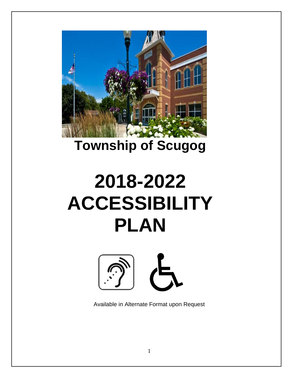

## **Township of Scugog**

# **2018-2022 ACCESSIBILITY PLAN**



Available in Alternate Format upon Request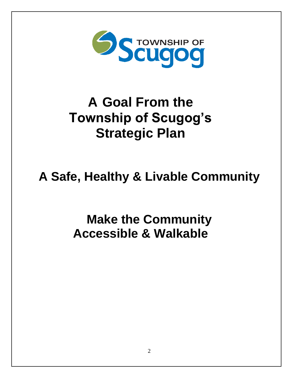

## **A Goal From the Township of Scugog's Strategic Plan**

## **A Safe, Healthy & Livable Community**

**Make the Community Accessible & Walkable**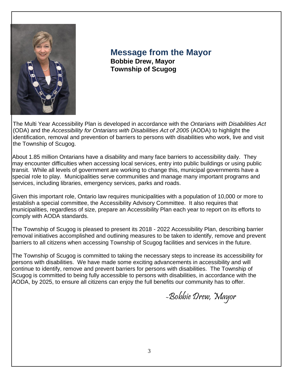

**Message from the Mayor Bobbie Drew, Mayor Township of Scugog**

The Multi Year Accessibility Plan is developed in accordance with the *Ontarians with Disabilities Act*  (ODA) and the *Accessibility for Ontarians with Disabilities Act of 2005* (AODA) to highlight the identification, removal and prevention of barriers to persons with disabilities who work, live and visit the Township of Scugog.

About 1.85 million Ontarians have a disability and many face barriers to accessibility daily. They may encounter difficulties when accessing local services, entry into public buildings or using public transit. While all levels of government are working to change this, municipal governments have a special role to play. Municipalities serve communities and manage many important programs and services, including libraries, emergency services, parks and roads.

Given this important role, Ontario law requires municipalities with a population of 10,000 or more to establish a special committee, the Accessibility Advisory Committee. It also requires that municipalities, regardless of size, prepare an Accessibility Plan each year to report on its efforts to comply with AODA standards.

The Township of Scugog is pleased to present its 2018 - 2022 Accessibility Plan, describing barrier removal initiatives accomplished and outlining measures to be taken to identify, remove and prevent barriers to all citizens when accessing Township of Scugog facilities and services in the future.

The Township of Scugog is committed to taking the necessary steps to increase its accessibility for persons with disabilities. We have made some exciting advancements in accessibility and will continue to identify, remove and prevent barriers for persons with disabilities. The Township of Scugog is committed to being fully accessible to persons with disabilities, in accordance with the AODA, by 2025, to ensure all citizens can enjoy the full benefits our community has to offer.

-Bobbie Drew, Mayor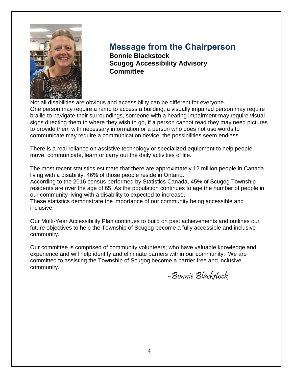

#### **Message from the Chairperson Bonnie Blackstock**

**Scugog Accessibility Advisory Committee**

Not all disabilities are obvious and accessibility can be different for everyone. One person may require a ramp to access a building, a visually impaired person may require braille to navigate their surroundings, someone with a hearing impairment may require visual signs directing them to where they wish to go, if a person cannot read they may need pictures to provide them with necessary information or a person who does not use words to communicate may require a communication device, the possibilities seem endless.

There is a real reliance on assistive technology or specialized equipment to help people move, communicate, learn or carry out the daily activities of life.

The most recent statistics estimate that there are approximately 12 million people in Canada living with a disability, 46% of those people reside in Ontario.

According to the 2016 census performed by Statistics Canada, 45% of Scugog Township residents are over the age of 65. As the population continues to age the number of people in our community living with a disability to expected to increase.

These statistics demonstrate the importance of our community being accessible and inclusive.

Our Multi-Year Accessibility Plan continues to build on past achievements and outlines our future objectives to help the Township of Scugog become a fully accessible and inclusive community.

Our committee is comprised of community volunteers; who have valuable knowledge and experience and will help identify and eliminate barriers within our community. We are committed to assisting the Township of Scugog become a barrier free and inclusive community.

-Bonnie Blackstock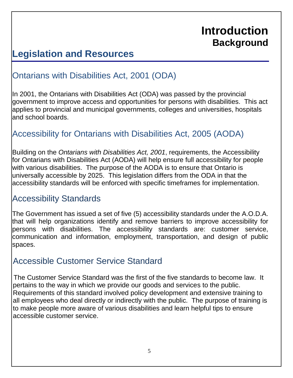## **Introduction Background**

### **Legislation and Resources**

#### Ontarians with Disabilities Act, 2001 (ODA)

In 2001, the Ontarians with Disabilities Act (ODA) was passed by the provincial government to improve access and opportunities for persons with disabilities. This act applies to provincial and municipal governments, colleges and universities, hospitals and school boards.

#### Accessibility for Ontarians with Disabilities Act, 2005 (AODA)

Building on the *Ontarians with Disabilities Act, 2001*, requirements, the Accessibility for Ontarians with Disabilities Act (AODA) will help ensure full accessibility for people with various disabilities. The purpose of the AODA is to ensure that Ontario is universally accessible by 2025. This legislation differs from the ODA in that the accessibility standards will be enforced with specific timeframes for implementation.

#### Accessibility Standards

The Government has issued a set of five (5) accessibility standards under the A.O.D.A. that will help organizations identify and remove barriers to improve accessibility for persons with disabilities. The accessibility standards are: customer service, communication and information, employment, transportation, and design of public spaces.

#### Accessible Customer Service Standard

The Customer Service Standard was the first of the five standards to become law. It pertains to the way in which we provide our goods and services to the public. Requirements of this standard involved policy development and extensive training to all employees who deal directly or indirectly with the public. The purpose of training is to make people more aware of various disabilities and learn helpful tips to ensure accessible customer service.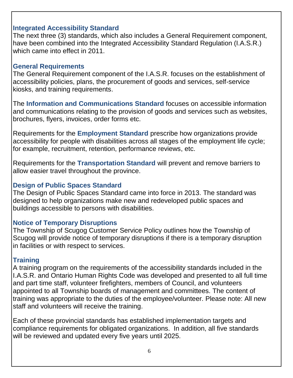#### **Integrated Accessibility Standard**

The next three (3) standards, which also includes a General Requirement component, have been combined into the Integrated Accessibility Standard Regulation (I.A.S.R.) which came into effect in 2011.

#### **General Requirements**

The General Requirement component of the I.A.S.R. focuses on the establishment of accessibility policies, plans, the procurement of goods and services, self-service kiosks, and training requirements.

The **Information and Communications Standard** focuses on accessible information and communications relating to the provision of goods and services such as websites, brochures, flyers, invoices, order forms etc.

Requirements for the **Employment Standard** prescribe how organizations provide accessibility for people with disabilities across all stages of the employment life cycle; for example, recruitment, retention, performance reviews, etc.

Requirements for the **Transportation Standard** will prevent and remove barriers to allow easier travel throughout the province.

#### **Design of Public Spaces Standard**

The Design of Public Spaces Standard came into force in 2013. The standard was designed to help organizations make new and redeveloped public spaces and buildings accessible to persons with disabilities.

#### **Notice of Temporary Disruptions**

The Township of Scugog Customer Service Policy outlines how the Township of Scugog will provide notice of temporary disruptions if there is a temporary disruption in facilities or with respect to services.

#### **Training**

A training program on the requirements of the accessibility standards included in the I.A.S.R. and Ontario Human Rights Code was developed and presented to all full time and part time staff, volunteer firefighters, members of Council, and volunteers appointed to all Township boards of management and committees. The content of training was appropriate to the duties of the employee/volunteer. Please note: All new staff and volunteers will receive the training.

Each of these provincial standards has established implementation targets and compliance requirements for obligated organizations. In addition, all five standards will be reviewed and updated every five years until 2025.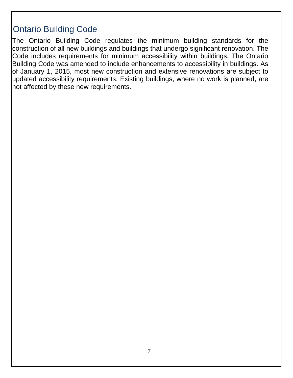#### Ontario Building Code

The Ontario Building Code regulates the minimum building standards for the construction of all new buildings and buildings that undergo significant renovation. The Code includes requirements for minimum accessibility within buildings. The Ontario Building Code was amended to include enhancements to accessibility in buildings. As of January 1, 2015, most new construction and extensive renovations are subject to updated accessibility requirements. Existing buildings, where no work is planned, are not affected by these new requirements.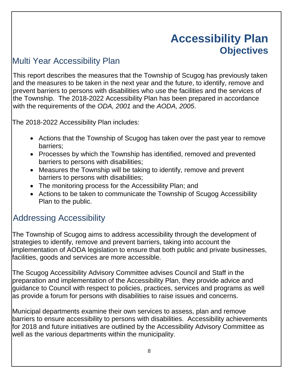## **Accessibility Plan Objectives**

#### Multi Year Accessibility Plan

This report describes the measures that the Township of Scugog has previously taken and the measures to be taken in the next year and the future, to identify, remove and prevent barriers to persons with disabilities who use the facilities and the services of the Township. The 2018-2022 Accessibility Plan has been prepared in accordance with the requirements of the *ODA, 2001* and the *AODA, 2005*.

The 2018-2022 Accessibility Plan includes:

- Actions that the Township of Scugog has taken over the past year to remove barriers;
- Processes by which the Township has identified, removed and prevented barriers to persons with disabilities;
- Measures the Township will be taking to identify, remove and prevent barriers to persons with disabilities;
- The monitoring process for the Accessibility Plan; and
- Actions to be taken to communicate the Township of Scugog Accessibility Plan to the public.

### Addressing Accessibility

The Township of Scugog aims to address accessibility through the development of strategies to identify, remove and prevent barriers, taking into account the implementation of AODA legislation to ensure that both public and private businesses, facilities, goods and services are more accessible.

The Scugog Accessibility Advisory Committee advises Council and Staff in the preparation and implementation of the Accessibility Plan, they provide advice and guidance to Council with respect to policies, practices, services and programs as well as provide a forum for persons with disabilities to raise issues and concerns.

Municipal departments examine their own services to assess, plan and remove barriers to ensure accessibility to persons with disabilities. Accessibility achievements for 2018 and future initiatives are outlined by the Accessibility Advisory Committee as well as the various departments within the municipality.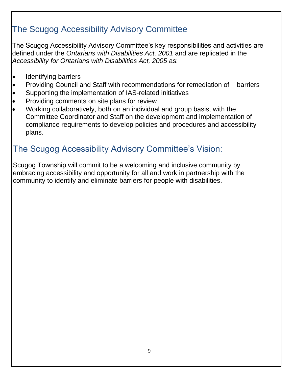### The Scugog Accessibility Advisory Committee

The Scugog Accessibility Advisory Committee's key responsibilities and activities are defined under the *Ontarians with Disabilities Act, 2001* and are replicated in the *Accessibility for Ontarians with Disabilities Act, 2005* as:

- Identifying barriers
- Providing Council and Staff with recommendations for remediation of barriers
- Supporting the implementation of IAS-related initiatives
- Providing comments on site plans for review
- Working collaboratively, both on an individual and group basis, with the Committee Coordinator and Staff on the development and implementation of compliance requirements to develop policies and procedures and accessibility plans.

### The Scugog Accessibility Advisory Committee's Vision:

Scugog Township will commit to be a welcoming and inclusive community by embracing accessibility and opportunity for all and work in partnership with the community to identify and eliminate barriers for people with disabilities.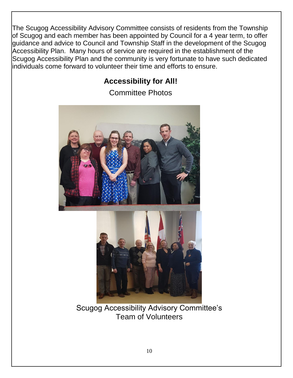The Scugog Accessibility Advisory Committee consists of residents from the Township of Scugog and each member has been appointed by Council for a 4 year term, to offer guidance and advice to Council and Township Staff in the development of the Scugog Accessibility Plan. Many hours of service are required in the establishment of the Scugog Accessibility Plan and the community is very fortunate to have such dedicated individuals come forward to volunteer their time and efforts to ensure.

#### **Accessibility for All!**

Committee Photos



Scugog Accessibility Advisory Committee's Team of Volunteers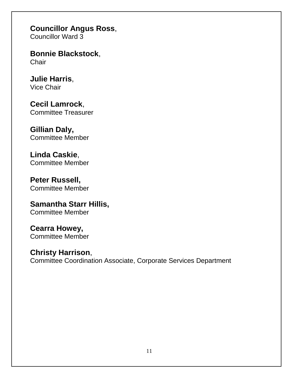**Councillor Angus Ross**,

Councillor Ward 3

**Bonnie Blackstock**, **Chair** 

**Julie Harris**, Vice Chair

**Cecil Lamrock**, Committee Treasurer

**Gillian Daly,**  Committee Member

**Linda Caskie**, Committee Member

**Peter Russell,** Committee Member

**Samantha Starr Hillis,** Committee Member

**Cearra Howey,** Committee Member

**Christy Harrison**, Committee Coordination Associate, Corporate Services Department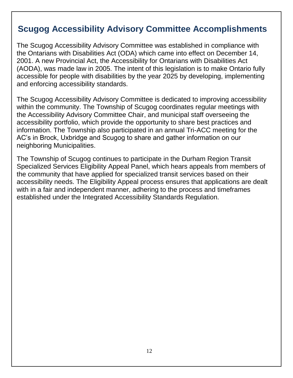#### **Scugog Accessibility Advisory Committee Accomplishments**

The Scugog Accessibility Advisory Committee was established in compliance with the Ontarians with Disabilities Act (ODA) which came into effect on December 14, 2001. A new Provincial Act, the Accessibility for Ontarians with Disabilities Act (AODA), was made law in 2005. The intent of this legislation is to make Ontario fully accessible for people with disabilities by the year 2025 by developing, implementing and enforcing accessibility standards.

The Scugog Accessibility Advisory Committee is dedicated to improving accessibility within the community. The Township of Scugog coordinates regular meetings with the Accessibility Advisory Committee Chair, and municipal staff overseeing the accessibility portfolio, which provide the opportunity to share best practices and information. The Township also participated in an annual Tri-ACC meeting for the AC's in Brock, Uxbridge and Scugog to share and gather information on our neighboring Municipalities.

The Township of Scugog continues to participate in the Durham Region Transit Specialized Services Eligibility Appeal Panel, which hears appeals from members of the community that have applied for specialized transit services based on their accessibility needs. The Eligibility Appeal process ensures that applications are dealt with in a fair and independent manner, adhering to the process and timeframes established under the Integrated Accessibility Standards Regulation.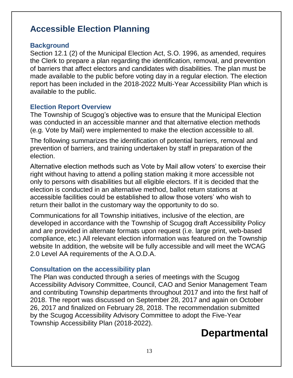#### **Accessible Election Planning**

#### **Background**

Section 12.1 (2) of the Municipal Election Act, S.O. 1996, as amended, requires the Clerk to prepare a plan regarding the identification, removal, and prevention of barriers that affect electors and candidates with disabilities. The plan must be made available to the public before voting day in a regular election. The election report has been included in the 2018-2022 Multi-Year Accessibility Plan which is available to the public.

#### **Election Report Overview**

The Township of Scugog's objective was to ensure that the Municipal Election was conducted in an accessible manner and that alternative election methods (e.g. Vote by Mail) were implemented to make the election accessible to all.

The following summarizes the identification of potential barriers, removal and prevention of barriers, and training undertaken by staff in preparation of the election.

Alternative election methods such as Vote by Mail allow voters' to exercise their right without having to attend a polling station making it more accessible not only to persons with disabilities but all eligible electors. If it is decided that the election is conducted in an alternative method, ballot return stations at accessible facilities could be established to allow those voters' who wish to return their ballot in the customary way the opportunity to do so.

Communications for all Township initiatives, inclusive of the election, are developed in accordance with the Township of Scugog draft Accessibility Policy and are provided in alternate formats upon request (i.e. large print, web-based compliance, etc.) All relevant election information was featured on the Township website In addition, the website will be fully accessible and will meet the WCAG 2.0 Level AA requirements of the A.O.D.A.

#### **Consultation on the accessibility plan**

The Plan was conducted through a series of meetings with the Scugog Accessibility Advisory Committee, Council, CAO and Senior Management Team and contributing Township departments throughout 2017 and into the first half of 2018. The report was discussed on September 28, 2017 and again on October 26, 2017 and finalized on February 28, 2018. The recommendation submitted by the Scugog Accessibility Advisory Committee to adopt the Five-Year Township Accessibility Plan (2018-2022).

## **Departmental**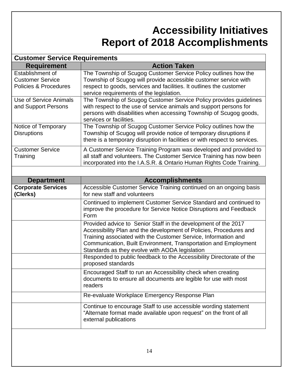## **Accessibility Initiatives Report of 2018 Accomplishments**

#### **Customer Service Requirements**

| <b>Requirement</b>      | <b>Action Taken</b>                                                        |
|-------------------------|----------------------------------------------------------------------------|
| Establishment of        | The Township of Scugog Customer Service Policy outlines how the            |
| <b>Customer Service</b> | Township of Scugog will provide accessible customer service with           |
| Policies & Procedures   | respect to goods, services and facilities. It outlines the customer        |
|                         | service requirements of the legislation.                                   |
| Use of Service Animals  | The Township of Scugog Customer Service Policy provides guidelines         |
| and Support Persons     | with respect to the use of service animals and support persons for         |
|                         | persons with disabilities when accessing Township of Scugog goods,         |
|                         | services or facilities.                                                    |
| Notice of Temporary     | The Township of Scugog Customer Service Policy outlines how the            |
| <b>Disruptions</b>      | Township of Scugog will provide notice of temporary disruptions if         |
|                         | there is a temporary disruption in facilities or with respect to services. |
| <b>Customer Service</b> | A Customer Service Training Program was developed and provided to          |
| Training                | all staff and volunteers. The Customer Service Training has now been       |
|                         | incorporated into the I.A.S.R. & Ontario Human Rights Code Training.       |

| <b>Department</b>                     | <b>Accomplishments</b>                                                                                                                                                                                                                                                                                                                                                                              |
|---------------------------------------|-----------------------------------------------------------------------------------------------------------------------------------------------------------------------------------------------------------------------------------------------------------------------------------------------------------------------------------------------------------------------------------------------------|
| <b>Corporate Services</b><br>(Clerks) | Accessible Customer Service Training continued on an ongoing basis<br>for new staff and volunteers                                                                                                                                                                                                                                                                                                  |
|                                       | Continued to implement Customer Service Standard and continued to<br>improve the procedure for Service Notice Disruptions and Feedback<br>Form                                                                                                                                                                                                                                                      |
|                                       | Provided advice to Senior Staff in the development of the 2017<br>Accessibility Plan and the development of Policies, Procedures and<br>Training associated with the Customer Service, Information and<br>Communication, Built Environment, Transportation and Employment<br>Standards as they evolve with AODA legislation<br>Responded to public feedback to the Accessibility Directorate of the |
|                                       | proposed standards                                                                                                                                                                                                                                                                                                                                                                                  |
|                                       | Encouraged Staff to run an Accessibility check when creating<br>documents to ensure all documents are legible for use with most<br>readers                                                                                                                                                                                                                                                          |
|                                       | Re-evaluate Workplace Emergency Response Plan                                                                                                                                                                                                                                                                                                                                                       |
|                                       | Continue to encourage Staff to use accessible wording statement<br>"Alternate format made available upon request" on the front of all<br>external publications                                                                                                                                                                                                                                      |
|                                       |                                                                                                                                                                                                                                                                                                                                                                                                     |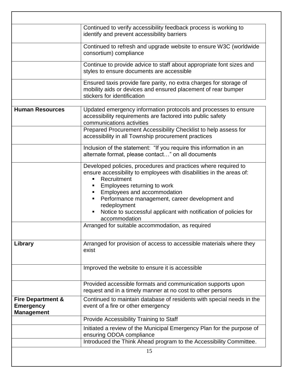|                                                                       | Continued to verify accessibility feedback process is working to<br>identify and prevent accessibility barriers                                                                                                                                                                                                                                                                                                                      |
|-----------------------------------------------------------------------|--------------------------------------------------------------------------------------------------------------------------------------------------------------------------------------------------------------------------------------------------------------------------------------------------------------------------------------------------------------------------------------------------------------------------------------|
|                                                                       | Continued to refresh and upgrade website to ensure W3C (worldwide<br>consortium) compliance                                                                                                                                                                                                                                                                                                                                          |
|                                                                       | Continue to provide advice to staff about appropriate font sizes and<br>styles to ensure documents are accessible                                                                                                                                                                                                                                                                                                                    |
|                                                                       | Ensured taxis provide fare parity, no extra charges for storage of<br>mobility aids or devices and ensured placement of rear bumper<br>stickers for identification                                                                                                                                                                                                                                                                   |
| <b>Human Resources</b>                                                | Updated emergency information protocols and processes to ensure<br>accessibility requirements are factored into public safety<br>communications activities                                                                                                                                                                                                                                                                           |
|                                                                       | Prepared Procurement Accessibility Checklist to help assess for<br>accessibility in all Township procurement practices                                                                                                                                                                                                                                                                                                               |
|                                                                       | Inclusion of the statement: "If you require this information in an<br>alternate format, please contact" on all documents                                                                                                                                                                                                                                                                                                             |
|                                                                       | Developed policies, procedures and practices where required to<br>ensure accessibility to employees with disabilities in the areas of:<br>Recruitment<br>Employees returning to work<br>п,<br>Employees and accommodation<br>Performance management, career development and<br>redeployment<br>Notice to successful applicant with notification of policies for<br>accommodation<br>Arranged for suitable accommodation, as required |
| Library                                                               | Arranged for provision of access to accessible materials where they<br>exist                                                                                                                                                                                                                                                                                                                                                         |
|                                                                       | Improved the website to ensure it is accessible                                                                                                                                                                                                                                                                                                                                                                                      |
|                                                                       | Provided accessible formats and communication supports upon<br>request and in a timely manner at no cost to other persons                                                                                                                                                                                                                                                                                                            |
| <b>Fire Department &amp;</b><br><b>Emergency</b><br><b>Management</b> | Continued to maintain database of residents with special needs in the<br>event of a fire or other emergency                                                                                                                                                                                                                                                                                                                          |
|                                                                       | Provide Accessibility Training to Staff                                                                                                                                                                                                                                                                                                                                                                                              |
|                                                                       | Initiated a review of the Municipal Emergency Plan for the purpose of<br>ensuring ODOA compliance                                                                                                                                                                                                                                                                                                                                    |
|                                                                       | Introduced the Think Ahead program to the Accessibility Committee.                                                                                                                                                                                                                                                                                                                                                                   |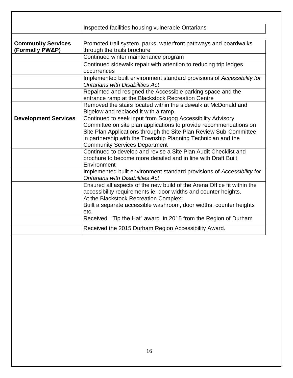|                                              | Inspected facilities housing vulnerable Ontarians                                                                                                                                                                                                                                                            |
|----------------------------------------------|--------------------------------------------------------------------------------------------------------------------------------------------------------------------------------------------------------------------------------------------------------------------------------------------------------------|
|                                              |                                                                                                                                                                                                                                                                                                              |
| <b>Community Services</b><br>(Formally PW&P) | Promoted trail system, parks, waterfront pathways and boardwalks<br>through the trails brochure                                                                                                                                                                                                              |
|                                              | Continued winter maintenance program                                                                                                                                                                                                                                                                         |
|                                              | Continued sidewalk repair with attention to reducing trip ledges<br>occurrences                                                                                                                                                                                                                              |
|                                              | Implemented built environment standard provisions of Accessibility for<br><b>Ontarians with Disabilities Act</b>                                                                                                                                                                                             |
|                                              | Repainted and resigned the Accessible parking space and the<br>entrance ramp at the Blackstock Recreation Centre                                                                                                                                                                                             |
|                                              | Removed the stairs located within the sidewalk at McDonald and<br>Bigelow and replaced it with a ramp.                                                                                                                                                                                                       |
| <b>Development Services</b>                  | Continued to seek input from Scugog Accessibility Advisory<br>Committee on site plan applications to provide recommendations on<br>Site Plan Applications through the Site Plan Review Sub-Committee<br>in partnership with the Township Planning Technician and the<br><b>Community Services Department</b> |
|                                              | Continued to develop and revise a Site Plan Audit Checklist and<br>brochure to become more detailed and in line with Draft Built<br>Environment                                                                                                                                                              |
|                                              | Implemented built environment standard provisions of Accessibility for<br><b>Ontarians with Disabilities Act</b>                                                                                                                                                                                             |
|                                              | Ensured all aspects of the new build of the Arena Office fit within the<br>accessibility requirements ie: door widths and counter heights.                                                                                                                                                                   |
|                                              | At the Blackstock Recreation Complex:<br>Built a separate accessible washroom, door widths, counter heights<br>etc.                                                                                                                                                                                          |
|                                              | Received "Tip the Hat" award in 2015 from the Region of Durham                                                                                                                                                                                                                                               |
|                                              | Received the 2015 Durham Region Accessibility Award.                                                                                                                                                                                                                                                         |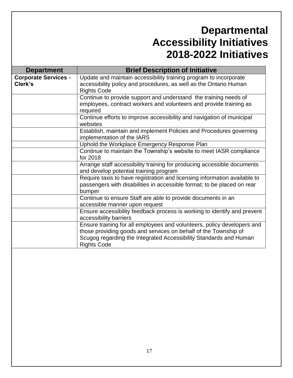## **Departmental Accessibility Initiatives 2018-2022 Initiatives**

| <b>Department</b>                      | <b>Brief Description of Initiative</b>                                                                                                                                                                                                |
|----------------------------------------|---------------------------------------------------------------------------------------------------------------------------------------------------------------------------------------------------------------------------------------|
| <b>Corporate Services -</b><br>Clerk's | Update and maintain accessibility training program to incorporate<br>accessibility policy and procedures, as well as the Ontario Human<br><b>Rights Code</b>                                                                          |
|                                        | Continue to provide support and understand the training needs of<br>employees, contract workers and volunteers and provide training as<br>required                                                                                    |
|                                        | Continue efforts to improve accessibility and navigation of municipal<br>websites                                                                                                                                                     |
|                                        | Establish, maintain and implement Policies and Procedures governing<br>implementation of the IARS                                                                                                                                     |
|                                        | Uphold the Workplace Emergency Response Plan                                                                                                                                                                                          |
|                                        | Continue to maintain the Township's website to meet IASR compliance<br>for 2018                                                                                                                                                       |
|                                        | Arrange staff accessibility training for producing accessible documents<br>and develop potential training program                                                                                                                     |
|                                        | Require taxis to have registration and licensing information available to<br>passengers with disabilities in accessible format; to be placed on rear<br>bumper                                                                        |
|                                        | Continue to ensure Staff are able to provide documents in an<br>accessible manner upon request                                                                                                                                        |
|                                        | Ensure accessibility feedback process is working to identify and prevent<br>accessibility barriers                                                                                                                                    |
|                                        | Ensure training for all employees and volunteers, policy developers and<br>those providing goods and services on behalf of the Township of<br>Scugog regarding the Integrated Accessibility Standards and Human<br><b>Rights Code</b> |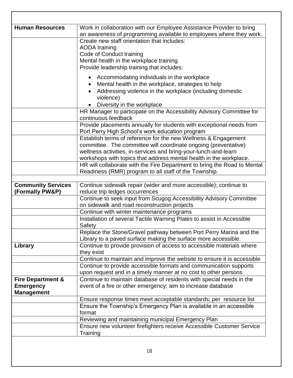| <b>Human Resources</b>       | Work in collaboration with our Employee Assistance Provider to bring     |
|------------------------------|--------------------------------------------------------------------------|
|                              | an awareness of programming available to employees where they work.      |
|                              | Create new staff orientation that includes:                              |
|                              | <b>AODA</b> training                                                     |
|                              | Code of Conduct training                                                 |
|                              | Mental health in the workplace training                                  |
|                              | Provide leadership training that includes:                               |
|                              | Accommodating individuals in the workplace                               |
|                              | Mental health in the workplace, strategies to help                       |
|                              | Addressing violence in the workplace (including domestic                 |
|                              | violence)                                                                |
|                              | Diversity in the workplace                                               |
|                              | HR Manager to participate on the Accessibility Advisory Committee for    |
|                              | continuous feedback                                                      |
|                              | Provide placements annually for students with exceptional needs from     |
|                              | Port Perry High School's work education program                          |
|                              | Establish terms of reference for the new Wellness & Engagement           |
|                              | committee. The committee will coordinate ongoing (preventative)          |
|                              | wellness activities, in-services and bring-your-lunch-and-learn          |
|                              | workshops with topics that address mental health in the workplace.       |
|                              | HR will collaborate with the Fire Department to bring the Road to Mental |
|                              | Readiness (RMR) program to all staff of the Township.                    |
|                              |                                                                          |
| <b>Community Services</b>    | Continue sidewalk repair (wider and more accessible); continue to        |
| (Formally PW&P)              | reduce trip ledges occurrences                                           |
|                              | Continue to seek input from Scugog Accessibility Advisory Committee      |
|                              | on sidewalk and road reconstruction projects                             |
|                              | Continue with winter maintenance programs                                |
|                              | Installation of several Tactile Warning Plates to assist in Accessible   |
|                              | Safety                                                                   |
|                              | Replace the Stone/Gravel pathway between Port Perry Marina and the       |
|                              | Library to a paved surface making the surface more accessible.           |
| Library                      | Continue to provide provision of access to accessible materials where    |
|                              | they exist                                                               |
|                              | Continue to maintain and improve the website to ensure it is accessible  |
|                              | Continue to provide accessible formats and communication supports        |
|                              | upon request and in a timely manner at no cost to other persons          |
| <b>Fire Department &amp;</b> | Continue to maintain database of residents with special needs in the     |
| <b>Emergency</b>             | event of a fire or other emergency; aim to increase database             |
| <b>Management</b>            |                                                                          |
|                              | Ensure response times meet acceptable standards; per resource list       |
|                              | Ensure the Township's Emergency Plan is available in an accessible       |
|                              | format                                                                   |
|                              | Reviewing and maintaining municipal Emergency Plan                       |
|                              |                                                                          |
|                              | Ensure new volunteer firefighters receive Accessible Customer Service    |
|                              | Training                                                                 |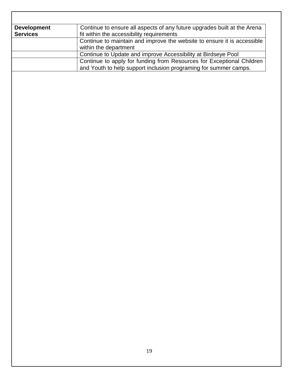| <b>Development</b> | Continue to ensure all aspects of any future upgrades built at the Arena |
|--------------------|--------------------------------------------------------------------------|
| <b>Services</b>    | fit within the accessibility requirements                                |
|                    | Continue to maintain and improve the website to ensure it is accessible  |
|                    | within the department                                                    |
|                    | Continue to Update and improve Accessibility at Birdseye Pool            |
|                    | Continue to apply for funding from Resources for Exceptional Children    |
|                    | and Youth to help support inclusion programing for summer camps.         |